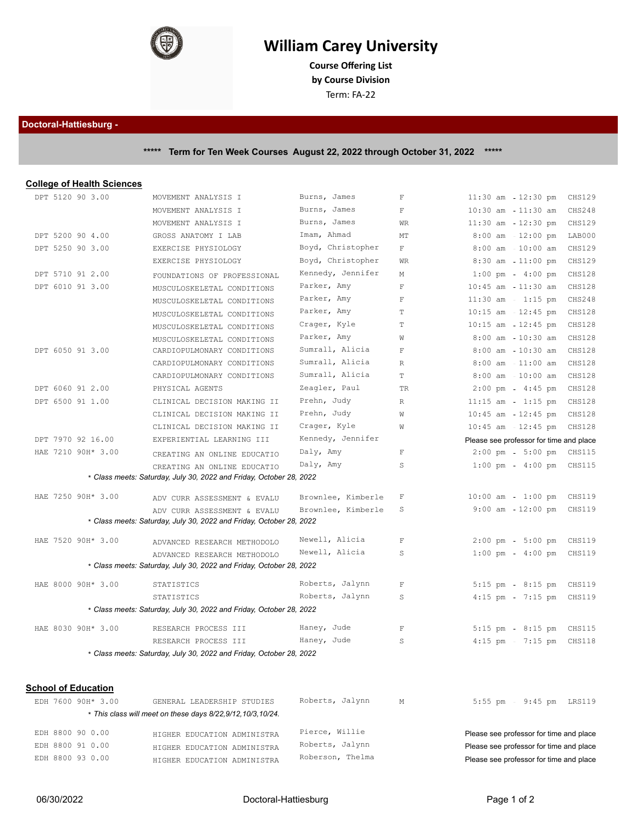

## **William Carey University**

**Course Ofering List by Course Division**

Term: FA-22

## **Doctoral-Hattiesburg -**

**\*\*\*\*\* Term for Ten Week Courses August 22, 2022 through October 31, 2022 \*\*\*\*\***

## **College of Health Sciences**

| DPT 5120 90 3.00                                                    | MOVEMENT ANALYSIS I                                                 | Burns, James       | $\mathbf{F}$ | $11:30$ am<br>12:30 pm                  | CHS129        |  |  |
|---------------------------------------------------------------------|---------------------------------------------------------------------|--------------------|--------------|-----------------------------------------|---------------|--|--|
|                                                                     | MOVEMENT ANALYSIS I                                                 | Burns, James       | $\mathbf{F}$ | $10:30$ am $-11:30$ am                  | <b>CHS248</b> |  |  |
|                                                                     | MOVEMENT ANALYSIS I                                                 | Burns, James       | <b>WR</b>    | $11:30$ am<br>$12:30$ pm                | <b>CHS129</b> |  |  |
| DPT 5200 90 4.00                                                    | GROSS ANATOMY I LAB                                                 | Imam, Ahmad        | $\rm{MT}$    | $8:00$ am<br>$12:00$ pm                 | LAB000        |  |  |
| DPT 5250 90 3.00                                                    | EXERCISE PHYSIOLOGY                                                 | Boyd, Christopher  | $\mathbf{F}$ | $8:00$ am $-10:00$ am                   | <b>CHS129</b> |  |  |
|                                                                     | EXERCISE PHYSIOLOGY                                                 | Boyd, Christopher  | <b>WR</b>    | $8:30$ am<br>$11:00$ pm                 | <b>CHS129</b> |  |  |
| DPT 5710 91 2.00                                                    | FOUNDATIONS OF PROFESSIONAL                                         | Kennedy, Jennifer  | М            | $1:00$ pm<br>$4:00$ pm                  | <b>CHS128</b> |  |  |
| DPT 6010 91 3.00                                                    | MUSCULOSKELETAL CONDITIONS                                          | Parker, Amy        | $\mathbf F$  | $10:45$ am $-11:30$ am                  | <b>CHS128</b> |  |  |
|                                                                     | MUSCULOSKELETAL CONDITIONS                                          | Parker, Amy        | $\mathbf F$  | $1:15$ pm<br>$11:30$ am                 | <b>CHS248</b> |  |  |
|                                                                     | MUSCULOSKELETAL CONDITIONS                                          | Parker, Amy        | $\mathbb T$  | $10:15$ am<br>$12:45$ pm                | <b>CHS128</b> |  |  |
|                                                                     | MUSCULOSKELETAL CONDITIONS                                          | Crager, Kyle       | $\mathbb T$  | $10:15$ am $-12:45$ pm                  | <b>CHS128</b> |  |  |
|                                                                     | MUSCULOSKELETAL CONDITIONS                                          | Parker, Amy        | W            | $8:00$ am<br>$10:30$ am                 | CHS128        |  |  |
| DPT 6050 91 3.00                                                    | CARDIOPULMONARY CONDITIONS                                          | Sumrall, Alicia    | $\mathbf F$  | $10:30$ am<br>$8:00$ am                 | CHS128        |  |  |
|                                                                     | CARDIOPULMONARY CONDITIONS                                          | Sumrall, Alicia    | $\mathbb{R}$ | $8:00$ am $-11:00$ am                   | CHS128        |  |  |
|                                                                     | CARDIOPULMONARY CONDITIONS                                          | Sumrall, Alicia    | $\mathbf T$  | $10:00$ am<br>$8:00$ am                 | <b>CHS128</b> |  |  |
| DPT 6060 91 2.00                                                    | PHYSICAL AGENTS                                                     | Zeagler, Paul      | <b>TR</b>    | $2:00$ pm<br>$4:45$ pm                  | CHS128        |  |  |
| DPT 6500 91 1.00                                                    | CLINICAL DECISION MAKING II                                         | Prehn, Judy        | $\mathbb R$  | $11:15$ am - $1:15$ pm                  | CHS128        |  |  |
|                                                                     | CLINICAL DECISION MAKING II                                         | Prehn, Judy        | W            | $10:45$ am<br>$12:45$ pm                | CHS128        |  |  |
|                                                                     | CLINICAL DECISION MAKING II                                         | Crager, Kyle       | W            | $10:45$ am<br>$12:45$ pm                | CHS128        |  |  |
| DPT 7970 92 16.00                                                   | EXPERIENTIAL LEARNING III                                           | Kennedy, Jennifer  |              | Please see professor for time and place |               |  |  |
| HAE 7210 90H* 3.00                                                  | CREATING AN ONLINE EDUCATIO                                         | Daly, Amy          | $\mathbf F$  | $2:00$ pm<br>$5:00 \text{ pm}$          | CHS115        |  |  |
|                                                                     | CREATING AN ONLINE EDUCATIO                                         | Daly, Amy          | $\mathbb S$  | $1:00$ pm<br>$4:00$ pm                  | CHS115        |  |  |
|                                                                     | * Class meets: Saturday, July 30, 2022 and Friday, October 28, 2022 |                    |              |                                         |               |  |  |
| HAE 7250 90H* 3.00                                                  | ADV CURR ASSESSMENT & EVALU                                         | Brownlee, Kimberle | $\mathbb F$  | $10:00$ am<br>$1:00$ pm                 | CHS119        |  |  |
|                                                                     | ADV CURR ASSESSMENT & EVALU                                         | Brownlee, Kimberle | S            | 9:00 am - 12:00 pm CHS119               |               |  |  |
|                                                                     | * Class meets: Saturday, July 30, 2022 and Friday, October 28, 2022 |                    |              |                                         |               |  |  |
| HAE 7520 90H* 3.00                                                  | ADVANCED RESEARCH METHODOLO                                         | Newell, Alicia     | $\mathbf F$  | $2:00 \text{ pm } -5:00 \text{ pm }$    | <b>CHS119</b> |  |  |
|                                                                     | ADVANCED RESEARCH METHODOLO                                         | Newell, Alicia     | S            | $1:00 \text{ pm } - 4:00 \text{ pm }$   | CHS119        |  |  |
|                                                                     | * Class meets: Saturday, July 30, 2022 and Friday, October 28, 2022 |                    |              |                                         |               |  |  |
| HAE 8000 90H* 3.00                                                  | STATISTICS                                                          | Roberts, Jalynn    | $\mathbf F$  | $5:15$ pm - $8:15$ pm                   | CHS119        |  |  |
|                                                                     | STATISTICS                                                          | Roberts, Jalynn    | $\mathbb S$  | $4:15$ pm<br>$7:15$ pm                  | <b>CHS119</b> |  |  |
|                                                                     | * Class meets: Saturday, July 30, 2022 and Friday, October 28, 2022 |                    |              |                                         |               |  |  |
|                                                                     |                                                                     |                    |              |                                         |               |  |  |
| HAE 8030 90H* 3.00                                                  | RESEARCH PROCESS III                                                | Haney, Jude        | $\mathbf F$  | $5:15$ pm - $8:15$ pm                   | CHS115        |  |  |
|                                                                     | RESEARCH PROCESS III                                                | Haney, Jude        | S            | $4:15$ pm<br>$7:15$ pm                  | CHS118        |  |  |
| * Class meets: Saturday, July 30, 2022 and Friday, October 28, 2022 |                                                                     |                    |              |                                         |               |  |  |
|                                                                     |                                                                     |                    |              |                                         |               |  |  |
|                                                                     |                                                                     |                    |              |                                         |               |  |  |

| EDH 7600 90H* 3.00                                         | GENERAL LEADERSHIP STUDIES  | Roberts, Jalynn<br>М | 5:55 pm 9:45 pm LRS119                  |  |  |  |  |  |
|------------------------------------------------------------|-----------------------------|----------------------|-----------------------------------------|--|--|--|--|--|
| * This class will meet on these days 8/22,9/12,10/3,10/24. |                             |                      |                                         |  |  |  |  |  |
| EDH 8800 90 0.00                                           | HIGHER EDUCATION ADMINISTRA | Pierce, Willie       | Please see professor for time and place |  |  |  |  |  |
| EDH 8800 91 0.00                                           | HIGHER EDUCATION ADMINISTRA | Roberts, Jalynn      | Please see professor for time and place |  |  |  |  |  |
| EDH 8800 93 0.00                                           | HIGHER EDUCATION ADMINISTRA | Roberson, Thelma     | Please see professor for time and place |  |  |  |  |  |

**School of Education**